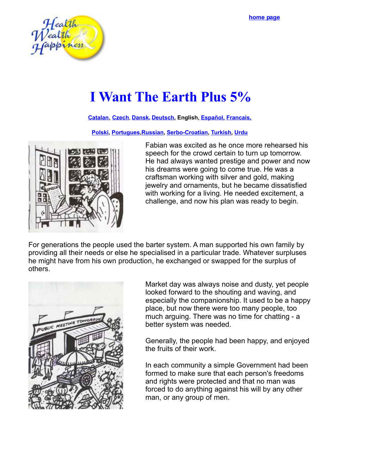

## **I Want The Earth Plus 5%**

**[Catalan](http://www.racocatala.cat/forum/llegir.php?idf=1&fil=55650)**, **[Czech](http://achnicta.bloguje.cz/269268_item.php)**, **[Dansk](http://www.relfe.com/plus_5_danish.html), [Deutsch,](http://www.relfe.com/plus_5_german.html) English, [Español,](http://www.geocities.com/mediodeintercambio/todomasel5original.html) [Francais,](http://www.relfe.com/plus_5_french.html)**

**[Polski,](http://www.relfe.com/plus_5_polish.html) [Portugues](http://www.geocities.com/mediodeintercambio/QueroTodaaTerraMais5.htm)[,Russian,](http://www.relfe.com/plus_5_russian.htm) [Serbo-Croatian,](http://www.relfe.com/plus_5_serbo-croatian.html) [Turkish,](http://www.relfe.com/plus_5_turkish.html) [Urdu](http://www.relfe.com/plus_5_urdu.html)**



Fabian was excited as he once more rehearsed his speech for the crowd certain to turn up tomorrow. He had always wanted prestige and power and now his dreams were going to come true. He was a craftsman working with silver and gold, making jewelry and ornaments, but he became dissatisfied with working for a living. He needed excitement, a challenge, and now his plan was ready to begin.

For generations the people used the barter system. A man supported his own family by providing all their needs or else he specialised in a particular trade. Whatever surpluses he might have from his own production, he exchanged or swapped for the surplus of others.



Market day was always noise and dusty, yet people looked forward to the shouting and waving, and especially the companionship. It used to be a happy place, but now there were too many people, too much arguing. There was no time for chatting - a better system was needed.

Generally, the people had been happy, and enjoyed the fruits of their work.

In each community a simple Government had been formed to make sure that each person's freedoms and rights were protected and that no man was forced to do anything against his will by any other man, or any group of men.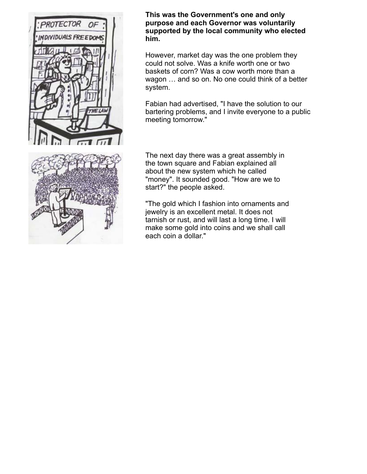

**This was the Government's one and only purpose and each Governor was voluntarily supported by the local community who elected him.**

However, market day was the one problem they could not solve. Was a knife worth one or two baskets of corn? Was a cow worth more than a wagon … and so on. No one could think of a better system.

Fabian had advertised, "I have the solution to our bartering problems, and I invite everyone to a public meeting tomorrow."

The next day there was a great assembly in the town square and Fabian explained all about the new system which he called "money". It sounded good. "How are we to start?" the people asked.

"The gold which I fashion into ornaments and jewelry is an excellent metal. It does not tarnish or rust, and will last a long time. I will make some gold into coins and we shall call each coin a dollar."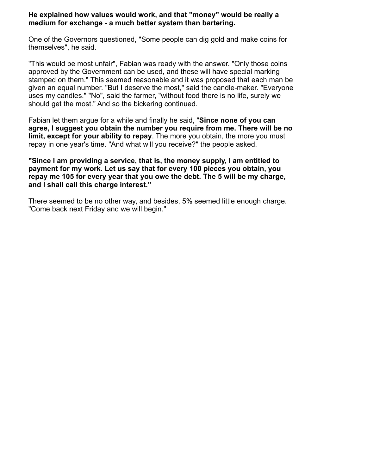## **He explained how values would work, and that "money" would be really a medium for exchange - a much better system than bartering.**

One of the Governors questioned, "Some people can dig gold and make coins for themselves", he said.

"This would be most unfair", Fabian was ready with the answer. "Only those coins approved by the Government can be used, and these will have special marking stamped on them." This seemed reasonable and it was proposed that each man be given an equal number. "But I deserve the most," said the candle-maker. "Everyone uses my candles." "No", said the farmer, "without food there is no life, surely we should get the most." And so the bickering continued.

Fabian let them argue for a while and finally he said, "**Since none of you can agree, I suggest you obtain the number you require from me. There will be no limit, except for your ability to repay**. The more you obtain, the more you must repay in one year's time. "And what will you receive?" the people asked.

**"Since I am providing a service, that is, the money supply, I am entitled to payment for my work. Let us say that for every 100 pieces you obtain, you repay me 105 for every year that you owe the debt. The 5 will be my charge, and I shall call this charge interest."**

There seemed to be no other way, and besides, 5% seemed little enough charge. "Come back next Friday and we will begin."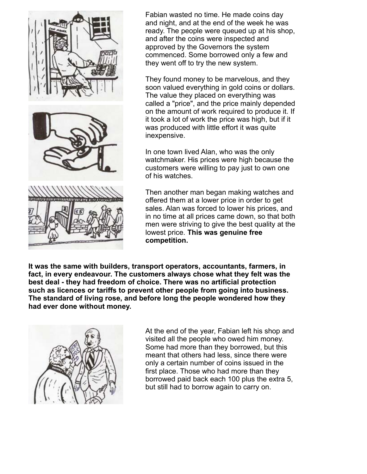

Fabian wasted no time. He made coins day and night, and at the end of the week he was ready. The people were queued up at his shop, and after the coins were inspected and approved by the Governors the system commenced. Some borrowed only a few and they went off to try the new system.

They found money to be marvelous, and they soon valued everything in gold coins or dollars. The value they placed on everything was called a "price", and the price mainly depended on the amount of work required to produce it. If it took a lot of work the price was high, but if it was produced with little effort it was quite inexpensive.

In one town lived Alan, who was the only watchmaker. His prices were high because the customers were willing to pay just to own one of his watches.

Then another man began making watches and offered them at a lower price in order to get sales. Alan was forced to lower his prices, and in no time at all prices came down, so that both men were striving to give the best quality at the lowest price. **This was genuine free competition.**

**It was the same with builders, transport operators, accountants, farmers, in fact, in every endeavour. The customers always chose what they felt was the best deal - they had freedom of choice. There was no artificial protection such as licences or tariffs to prevent other people from going into business. The standard of living rose, and before long the people wondered how they had ever done without money.**



At the end of the year, Fabian left his shop and visited all the people who owed him money. Some had more than they borrowed, but this meant that others had less, since there were only a certain number of coins issued in the first place. Those who had more than they borrowed paid back each 100 plus the extra 5, but still had to borrow again to carry on.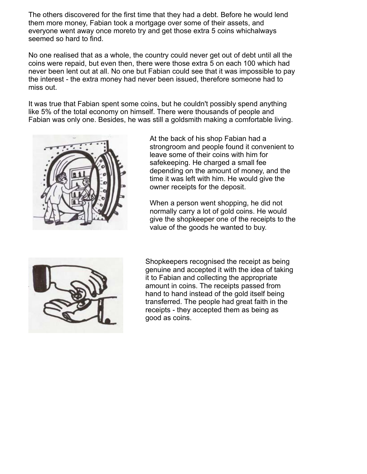The others discovered for the first time that they had a debt. Before he would lend them more money, Fabian took a mortgage over some of their assets, and everyone went away once moreto try and get those extra 5 coins whichalways seemed so hard to find.

No one realised that as a whole, the country could never get out of debt until all the coins were repaid, but even then, there were those extra 5 on each 100 which had never been lent out at all. No one but Fabian could see that it was impossible to pay the interest - the extra money had never been issued, therefore someone had to miss out.

It was true that Fabian spent some coins, but he couldn't possibly spend anything like 5% of the total economy on himself. There were thousands of people and Fabian was only one. Besides, he was still a goldsmith making a comfortable living.



At the back of his shop Fabian had a strongroom and people found it convenient to leave some of their coins with him for safekeeping. He charged a small fee depending on the amount of money, and the time it was left with him. He would give the owner receipts for the deposit.

When a person went shopping, he did not normally carry a lot of gold coins. He would give the shopkeeper one of the receipts to the value of the goods he wanted to buy.



Shopkeepers recognised the receipt as being genuine and accepted it with the idea of taking it to Fabian and collecting the appropriate amount in coins. The receipts passed from hand to hand instead of the gold itself being transferred. The people had great faith in the receipts - they accepted them as being as good as coins.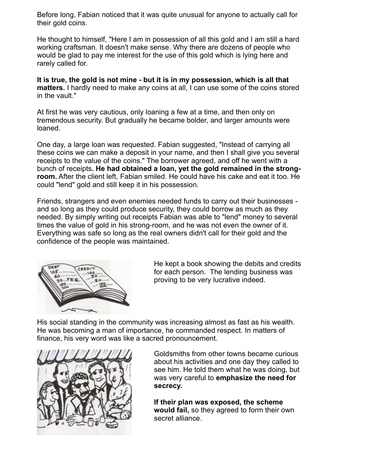Before long, Fabian noticed that it was quite unusual for anyone to actually call for their gold coins.

He thought to himself, "Here I am in possession of all this gold and I am still a hard working craftsman. It doesn't make sense. Why there are dozens of people who would be glad to pay me interest for the use of this gold which is lying here and rarely called for.

**It is true, the gold is not mine - but it is in my possession, which is all that matters.** I hardly need to make any coins at all, I can use some of the coins stored in the vault."

At first he was very cautious, only loaning a few at a time, and then only on tremendous security. But gradually he became bolder, and larger amounts were loaned.

One day, a large loan was requested. Fabian suggested, "Instead of carrying all these coins we can make a deposit in your name, and then I shall give you several receipts to the value of the coins." The borrower agreed, and off he went with a bunch of receipts**. He had obtained a loan, yet the gold remained in the strongroom.** After the client left, Fabian smiled. He could have his cake and eat it too. He could "lend" gold and still keep it in his possession.

Friends, strangers and even enemies needed funds to carry out their businesses and so long as they could produce security, they could borrow as much as they needed. By simply writing out receipts Fabian was able to "lend" money to several times the value of gold in his strong-room, and he was not even the owner of it. Everything was safe so long as the real owners didn't call for their gold and the confidence of the people was maintained.



He kept a book showing the debits and credits for each person. The lending business was proving to be very lucrative indeed.

His social standing in the community was increasing almost as fast as his wealth. He was becoming a man of importance, he commanded respect. In matters of finance, his very word was like a sacred pronouncement.



Goldsmiths from other towns became curious about his activities and one day they called to see him. He told them what he was doing, but was very careful to **emphasize the need for secrecy.** 

**If their plan was exposed, the scheme would fail,** so they agreed to form their own secret alliance.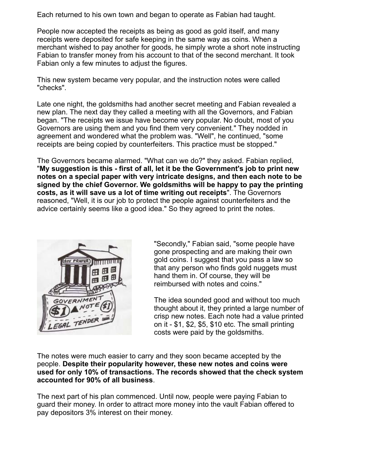Each returned to his own town and began to operate as Fabian had taught.

People now accepted the receipts as being as good as gold itself, and many receipts were deposited for safe keeping in the same way as coins. When a merchant wished to pay another for goods, he simply wrote a short note instructing Fabian to transfer money from his account to that of the second merchant. It took Fabian only a few minutes to adjust the figures.

This new system became very popular, and the instruction notes were called "checks".

Late one night, the goldsmiths had another secret meeting and Fabian revealed a new plan. The next day they called a meeting with all the Governors, and Fabian began. "The receipts we issue have become very popular. No doubt, most of you Governors are using them and you find them very convenient." They nodded in agreement and wondered what the problem was. "Well", he continued, "some receipts are being copied by counterfeiters. This practice must be stopped."

The Governors became alarmed. "What can we do?" they asked. Fabian replied, "**My suggestion is this - first of all, let it be the Government's job to print new notes on a special paper with very intricate designs, and then each note to be signed by the chief Governor. We goldsmiths will be happy to pay the printing costs, as it will save us a lot of time writing out receipts**". The Governors reasoned, "Well, it is our job to protect the people against counterfeiters and the advice certainly seems like a good idea." So they agreed to print the notes.



"Secondly," Fabian said, "some people have gone prospecting and are making their own gold coins. I suggest that you pass a law so that any person who finds gold nuggets must hand them in. Of course, they will be reimbursed with notes and coins."

The idea sounded good and without too much thought about it, they printed a large number of crisp new notes. Each note had a value printed on it - \$1, \$2, \$5, \$10 etc. The small printing costs were paid by the goldsmiths.

The notes were much easier to carry and they soon became accepted by the people. **Despite their popularity however, these new notes and coins were used for only 10% of transactions. The records showed that the check system accounted for 90% of all business**.

The next part of his plan commenced. Until now, people were paying Fabian to guard their money. In order to attract more money into the vault Fabian offered to pay depositors 3% interest on their money.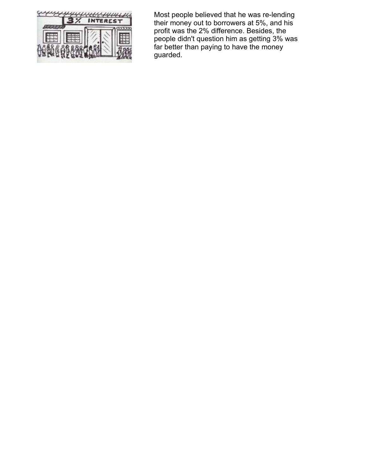

Most people believed that he was re-lending their money out to borrowers at 5%, and his profit was the 2% difference. Besides, the people didn't question him as getting 3% was far better than paying to have the money guarded.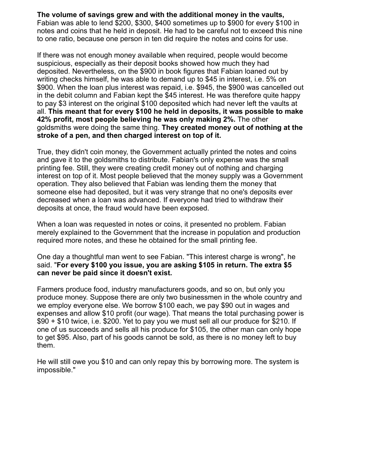**The volume of savings grew and with the additional money in the vaults,** Fabian was able to lend \$200, \$300, \$400 sometimes up to \$900 for every \$100 in notes and coins that he held in deposit. He had to be careful not to exceed this nine to one ratio, because one person in ten did require the notes and coins for use.

If there was not enough money available when required, people would become suspicious, especially as their deposit books showed how much they had deposited. Nevertheless, on the \$900 in book figures that Fabian loaned out by writing checks himself, he was able to demand up to \$45 in interest, i.e. 5% on \$900. When the loan plus interest was repaid, i.e. \$945, the \$900 was cancelled out in the debit column and Fabian kept the \$45 interest. He was therefore quite happy to pay \$3 interest on the original \$100 deposited which had never left the vaults at all. **This meant that for every \$100 he held in deposits, it was possible to make 42% profit, most people believing he was only making 2%.** The other goldsmiths were doing the same thing. **They created money out of nothing at the stroke of a pen, and then charged interest on top of it.**

True, they didn't coin money, the Government actually printed the notes and coins and gave it to the goldsmiths to distribute. Fabian's only expense was the small printing fee. Still, they were creating credit money out of nothing and charging interest on top of it. Most people believed that the money supply was a Government operation. They also believed that Fabian was lending them the money that someone else had deposited, but it was very strange that no one's deposits ever decreased when a loan was advanced. If everyone had tried to withdraw their deposits at once, the fraud would have been exposed.

When a loan was requested in notes or coins, it presented no problem. Fabian merely explained to the Government that the increase in population and production required more notes, and these he obtained for the small printing fee.

One day a thoughtful man went to see Fabian. "This interest charge is wrong", he said. "**For every \$100 you issue, you are asking \$105 in return. The extra \$5 can never be paid since it doesn't exist.**

Farmers produce food, industry manufacturers goods, and so on, but only you produce money. Suppose there are only two businessmen in the whole country and we employ everyone else. We borrow \$100 each, we pay \$90 out in wages and expenses and allow \$10 profit (our wage). That means the total purchasing power is \$90 + \$10 twice, i.e. \$200. Yet to pay you we must sell all our produce for \$210. If one of us succeeds and sells all his produce for \$105, the other man can only hope to get \$95. Also, part of his goods cannot be sold, as there is no money left to buy them.

He will still owe you \$10 and can only repay this by borrowing more. The system is impossible."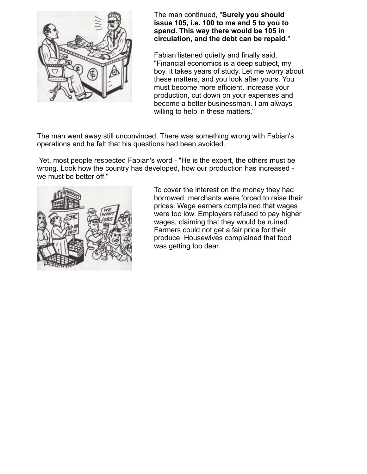

The man continued, "**Surely you should issue 105, i.e. 100 to me and 5 to you to spend. This way there would be 105 in circulation, and the debt can be repaid**."

Fabian listened quietly and finally said, "Financial economics is a deep subject, my boy, it takes years of study. Let me worry about these matters, and you look after yours. You must become more efficient, increase your production, cut down on your expenses and become a better businessman. I am always willing to help in these matters."

The man went away still unconvinced. There was something wrong with Fabian's operations and he felt that his questions had been avoided.

Yet, most people respected Fabian's word - "He is the expert, the others must be wrong. Look how the country has developed, how our production has increased we must be better off."



To cover the interest on the money they had borrowed, merchants were forced to raise their prices. Wage earners complained that wages were too low. Employers refused to pay higher wages, claiming that they would be ruined. Farmers could not get a fair price for their produce. Housewives complained that food was getting too dear.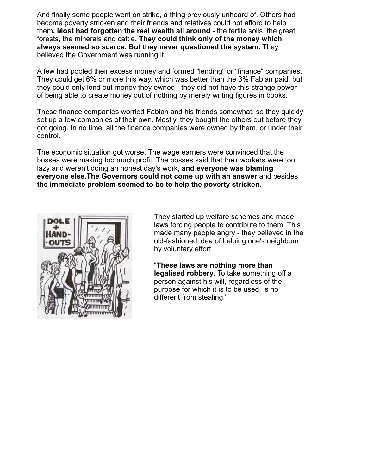And finally some people went on strike, a thing previously unheard of. Others had become poverty stricken and their friends and relatives could not afford to help them**. Most had forgotten the real wealth all around** - the fertile soils, the great forests, the minerals and cattle**. They could think only of the money which always seemed so scarce. But they never questioned the system.** They believed the Government was running it.

A few had pooled their excess money and formed "lending" or "finance" companies. They could get 6% or more this way, which was better than the 3% Fabian paid, but they could only lend out money they owned - they did not have this strange power of being able to create money out of nothing by merely writing figures in books.

These finance companies worried Fabian and his friends somewhat, so they quickly set up a few companies of their own. Mostly, they bought the others out before they got going. In no time, all the finance companies were owned by them, or under their control.

The economic situation got worse. The wage earners were convinced that the bosses were making too much profit. The bosses said that their workers were too lazy and weren't doing an honest day's work, **and everyone was blaming everyone else.The Governors could not come up with an answer** and besides, **the immediate problem seemed to be to help the poverty stricken.** 



They started up welfare schemes and made laws forcing people to contribute to them. This made many people angry - they believed in the old-fashioned idea of helping one's neighbour by voluntary effort.

"**These laws are nothing more than legalised robbery**. To take something off a person against his will, regardless of the purpose for which it is to be used, is no different from stealing."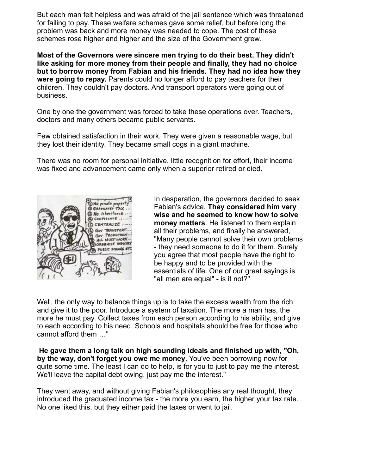But each man felt helpless and was afraid of the jail sentence which was threatened for failing to pay. These welfare schemes gave some relief, but before long the problem was back and more money was needed to cope. The cost of these schemes rose higher and higher and the size of the Government grew.

**Most of the Governors were sincere men trying to do their best. They didn't like asking for more money from their people and finally, they had no choice but to borrow money from Fabian and his friends. They had no idea how they were going to repay.** Parents could no longer afford to pay teachers for their children. They couldn't pay doctors. And transport operators were going out of business.

One by one the government was forced to take these operations over. Teachers, doctors and many others became public servants.

Few obtained satisfaction in their work. They were given a reasonable wage, but they lost their identity. They became small cogs in a giant machine.

There was no room for personal initiative, little recognition for effort, their income was fixed and advancement came only when a superior retired or died.



In desperation, the governors decided to seek Fabian's advice. **They considered him very wise and he seemed to know how to solve money matters**. He listened to them explain all their problems, and finally he answered, "Many people cannot solve their own problems - they need someone to do it for them. Surely you agree that most people have the right to be happy and to be provided with the essentials of life. One of our great sayings is "all men are equal" - is it not?"

Well, the only way to balance things up is to take the excess wealth from the rich and give it to the poor. Introduce a system of taxation. The more a man has, the more he must pay. Collect taxes from each person according to his ability, and give to each according to his need. Schools and hospitals should be free for those who cannot afford them …"

**He gave them a long talk on high sounding ideals and finished up with, "Oh, by the way, don't forget you owe me money**. You've been borrowing now for quite some time. The least I can do to help, is for you to just to pay me the interest. We'll leave the capital debt owing, just pay me the interest."

They went away, and without giving Fabian's philosophies any real thought, they introduced the graduated income tax - the more you earn, the higher your tax rate. No one liked this, but they either paid the taxes or went to jail.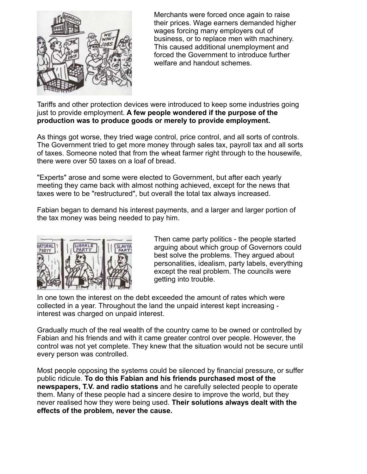

Merchants were forced once again to raise their prices. Wage earners demanded higher wages forcing many employers out of business, or to replace men with machinery. This caused additional unemployment and forced the Government to introduce further welfare and handout schemes.

Tariffs and other protection devices were introduced to keep some industries going just to provide employment. **A few people wondered if the purpose of the production was to produce goods or merely to provide employment.**

As things got worse, they tried wage control, price control, and all sorts of controls. The Government tried to get more money through sales tax, payroll tax and all sorts of taxes. Someone noted that from the wheat farmer right through to the housewife, there were over 50 taxes on a loaf of bread.

"Experts" arose and some were elected to Government, but after each yearly meeting they came back with almost nothing achieved, except for the news that taxes were to be "restructured", but overall the total tax always increased.

Fabian began to demand his interest payments, and a larger and larger portion of the tax money was being needed to pay him.



Then came party politics - the people started arguing about which group of Governors could best solve the problems. They argued about personalities, idealism, party labels, everything except the real problem. The councils were getting into trouble.

In one town the interest on the debt exceeded the amount of rates which were collected in a year. Throughout the land the unpaid interest kept increasing interest was charged on unpaid interest.

Gradually much of the real wealth of the country came to be owned or controlled by Fabian and his friends and with it came greater control over people. However, the control was not yet complete. They knew that the situation would not be secure until every person was controlled.

Most people opposing the systems could be silenced by financial pressure, or suffer public ridicule. **To do this Fabian and his friends purchased most of the newspapers, T.V. and radio stations** and he carefully selected people to operate them. Many of these people had a sincere desire to improve the world, but they never realised how they were being used. **Their solutions always dealt with the effects of the problem, never the cause.**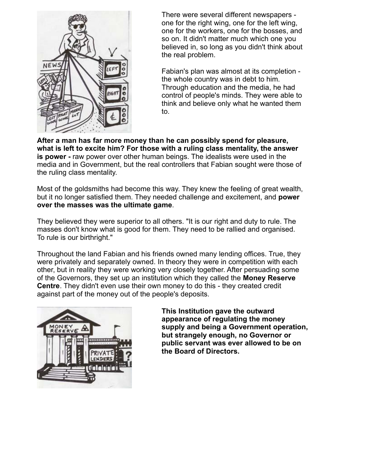

There were several different newspapers one for the right wing, one for the left wing, one for the workers, one for the bosses, and so on. It didn't matter much which one you believed in, so long as you didn't think about the real problem.

Fabian's plan was almost at its completion the whole country was in debt to him. Through education and the media, he had control of people's minds. They were able to think and believe only what he wanted them to.

**After a man has far more money than he can possibly spend for pleasure, what is left to excite him? For those with a ruling class mentality, the answer is power -** raw power over other human beings. The idealists were used in the media and in Government, but the real controllers that Fabian sought were those of the ruling class mentality.

Most of the goldsmiths had become this way. They knew the feeling of great wealth, but it no longer satisfied them. They needed challenge and excitement, and **power over the masses was the ultimate game**.

They believed they were superior to all others. "It is our right and duty to rule. The masses don't know what is good for them. They need to be rallied and organised. To rule is our birthright."

Throughout the land Fabian and his friends owned many lending offices. True, they were privately and separately owned. In theory they were in competition with each other, but in reality they were working very closely together. After persuading some of the Governors, they set up an institution which they called the **Money Reserve Centre**. They didn't even use their own money to do this - they created credit against part of the money out of the people's deposits.



**This Institution gave the outward appearance of regulating the money supply and being a Government operation, but strangely enough, no Governor or public servant was ever allowed to be on the Board of Directors.**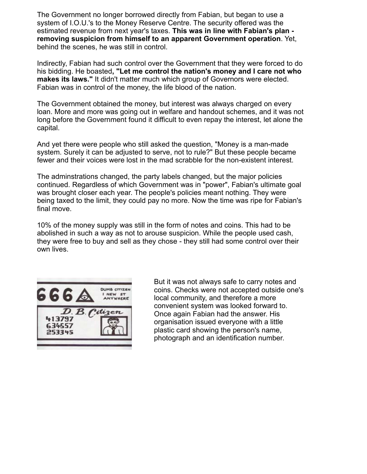The Government no longer borrowed directly from Fabian, but began to use a system of I.O.U.'s to the Money Reserve Centre. The security offered was the estimated revenue from next year's taxes. **This was in line with Fabian's plan removing suspicion from himself to an apparent Government operation**. Yet, behind the scenes, he was still in control.

Indirectly, Fabian had such control over the Government that they were forced to do his bidding. He boasted**, "Let me control the nation's money and I care not who makes its laws."** It didn't matter much which group of Governors were elected. Fabian was in control of the money, the life blood of the nation.

The Government obtained the money, but interest was always charged on every loan. More and more was going out in welfare and handout schemes, and it was not long before the Government found it difficult to even repay the interest, let alone the capital.

And yet there were people who still asked the question, "Money is a man-made system. Surely it can be adjusted to serve, not to rule?" But these people became fewer and their voices were lost in the mad scrabble for the non-existent interest.

The adminstrations changed, the party labels changed, but the major policies continued. Regardless of which Government was in "power", Fabian's ultimate goal was brought closer each year. The people's policies meant nothing. They were being taxed to the limit, they could pay no more. Now the time was ripe for Fabian's final move.

10% of the money supply was still in the form of notes and coins. This had to be abolished in such a way as not to arouse suspicion. While the people used cash, they were free to buy and sell as they chose - they still had some control over their own lives.



But it was not always safe to carry notes and coins. Checks were not accepted outside one's local community, and therefore a more convenient system was looked forward to. Once again Fabian had the answer. His organisation issued everyone with a little plastic card showing the person's name, photograph and an identification number.